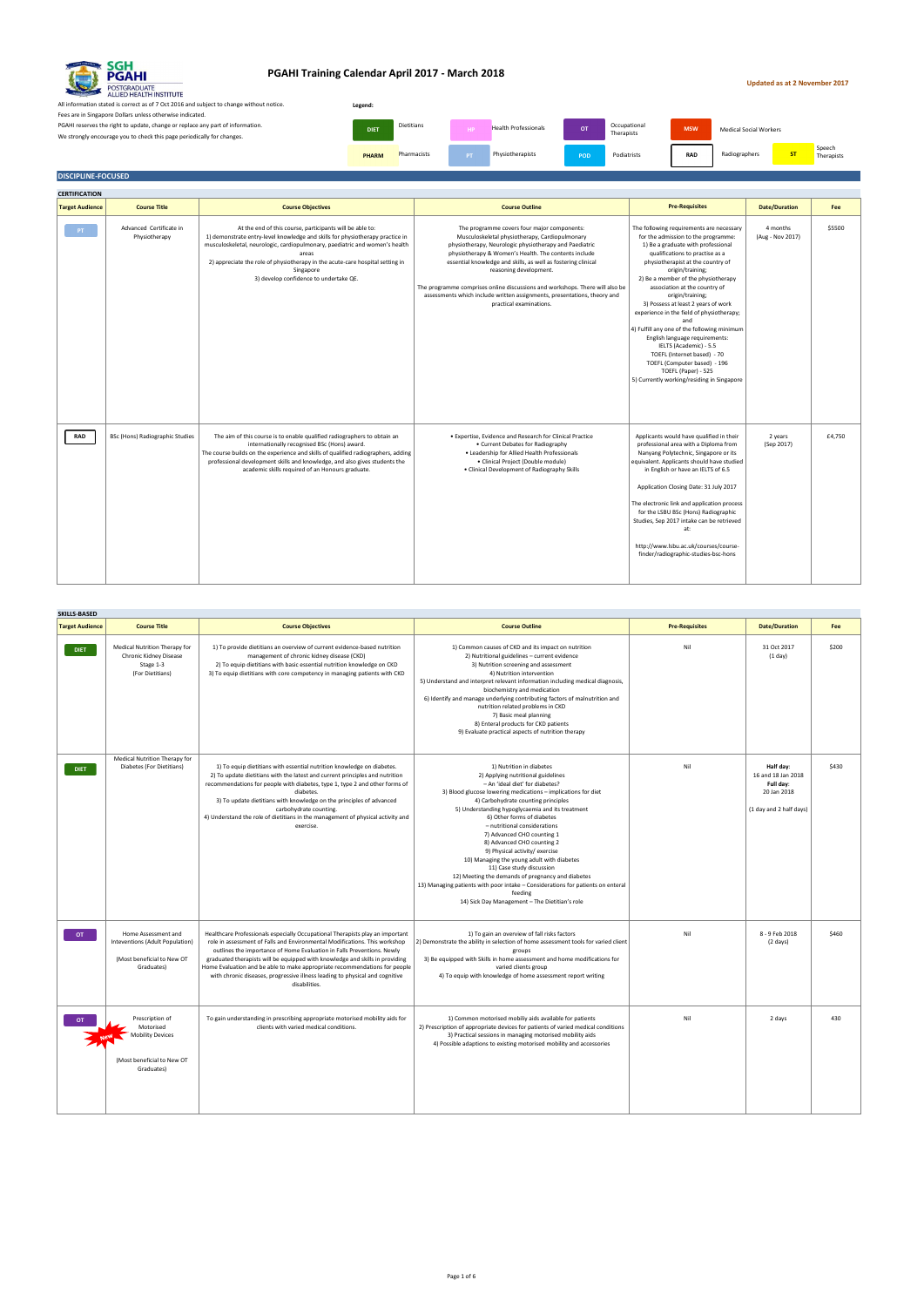#### **Updated as at 2 November 2017**

All information stated is correct as of 7 Oct 2016 and subject to change without notice. Fees are in Singapore Dollars unless otherwise indicated. PGAHI reserves the right to update, change or replace any part of information. We strongly encourage you to check this page periodically for changes.

Dietitians Health Professionals MEDIC OCCUPATIONAL MEDICAL MEDICAL MEDICAL MEDICAL MEDICAL MEDICAL MEDICAL MEDICAL MEDICAL MEDICAL MEDICAL MEDICAL MEDICAL MEDICAL MEDICAL MEDICAL MEDICAL MEDICAL MEDICAL MEDICAL MEDICAL MED Occupational<br>Therapists **PHARM** Pharmacists PT Physiotherapists **POD** Podiatrists RAD Radiographers ST Speech Therapists **Legend: DIET** Dietitians **DIET Dietitians MSW** Health Professionals

#### **DISCIPLINE-FOCUSED**

| <b>CERTIFICATION</b>   |                                          |                                                                                                                                                                                                                                                                                                                                                                           |                                                                                                                                                                                                                                                                                                                                                                                                                                                                                                   |                                                                                                                                                                                                                                                                                                                                                                                                                                                                                                                                                                                                                                                         |                              |        |
|------------------------|------------------------------------------|---------------------------------------------------------------------------------------------------------------------------------------------------------------------------------------------------------------------------------------------------------------------------------------------------------------------------------------------------------------------------|---------------------------------------------------------------------------------------------------------------------------------------------------------------------------------------------------------------------------------------------------------------------------------------------------------------------------------------------------------------------------------------------------------------------------------------------------------------------------------------------------|---------------------------------------------------------------------------------------------------------------------------------------------------------------------------------------------------------------------------------------------------------------------------------------------------------------------------------------------------------------------------------------------------------------------------------------------------------------------------------------------------------------------------------------------------------------------------------------------------------------------------------------------------------|------------------------------|--------|
| <b>Target Audience</b> | <b>Course Title</b>                      | <b>Course Objectives</b>                                                                                                                                                                                                                                                                                                                                                  | <b>Course Outline</b>                                                                                                                                                                                                                                                                                                                                                                                                                                                                             | <b>Pre-Requisites</b>                                                                                                                                                                                                                                                                                                                                                                                                                                                                                                                                                                                                                                   | <b>Date/Duration</b>         | Fee    |
| PT                     | Advanced Certificate in<br>Physiotherapy | At the end of this course, participants will be able to:<br>1) demonstrate entry-level knowledge and skills for physiotherapy practice in<br>musculoskeletal, neurologic, cardiopulmonary, paediatric and women's health<br>areas<br>2) appreciate the role of physiotherapy in the acute-care hospital setting in<br>Singapore<br>3) develop confidence to undertake QE. | The programme covers four major components:<br>Musculoskeletal physiotherapy, Cardiopulmonary<br>physiotherapy, Neurologic physiotherapy and Paediatric<br>physiotherapy & Women's Health. The contents include<br>essential knowledge and skills, as well as fostering clinical<br>reasoning development.<br>The programme comprises online discussions and workshops. There will also be<br>assessments which include written assignments, presentations, theory and<br>practical examinations. | The following requirements are necessary<br>for the admission to the programme:<br>1) Be a graduate with professional<br>qualifications to practise as a<br>physiotherapist at the country of<br>origin/training;<br>2) Be a member of the physiotherapy<br>association at the country of<br>origin/training;<br>3) Possess at least 2 years of work<br>experience in the field of physiotherapy;<br>and<br>4) Fulfill any one of the following minimum<br>English language requirements:<br>IELTS (Academic) - 5.5<br>TOEFL (Internet based) - 70<br>TOEFL (Computer based) - 196<br>TOEFL (Paper) - 525<br>5) Currently working/residing in Singapore | 4 months<br>(Aug - Nov 2017) | \$5500 |
| <b>RAD</b>             | <b>BSc (Hons) Radiographic Studies</b>   | The aim of this course is to enable qualified radiographers to obtain an<br>internationally recognised BSc (Hons) award.<br>The course builds on the experience and skills of qualified radiographers, adding<br>professional development skills and knowledge, and also gives students the<br>academic skills required of an Honours graduate.                           | · Expertise, Evidence and Research for Clinical Practice<br>• Current Debates for Radiography<br>. Leadership for Allied Health Professionals<br>· Clinical Project (Double module)<br>• Clinical Development of Radiography Skills                                                                                                                                                                                                                                                               | Applicants would have qualified in their<br>professional area with a Diploma from<br>Nanyang Polytechnic, Singapore or its<br>equivalent. Applicants should have studied<br>in English or have an IELTS of 6.5<br>Application Closing Date: 31 July 2017<br>The electronic link and application process<br>for the LSBU BSc (Hons) Radiographic<br>Studies, Sep 2017 intake can be retrieved<br>at:<br>http://www.lsbu.ac.uk/courses/course-<br>finder/radiographic-studies-bsc-hons                                                                                                                                                                    | 2 years<br>(Sep 2017)        | £4,750 |

| <b>SKILLS-BASED</b>    |                                                                                                     |                                                                                                                                                                                                                                                                                                                                                                                                                                                                                                      |                                                                                                                                                                                                                                                                                                                                                                                                                                                                                                                                                                                                                                                                                                          |                       |                                                                                        |       |
|------------------------|-----------------------------------------------------------------------------------------------------|------------------------------------------------------------------------------------------------------------------------------------------------------------------------------------------------------------------------------------------------------------------------------------------------------------------------------------------------------------------------------------------------------------------------------------------------------------------------------------------------------|----------------------------------------------------------------------------------------------------------------------------------------------------------------------------------------------------------------------------------------------------------------------------------------------------------------------------------------------------------------------------------------------------------------------------------------------------------------------------------------------------------------------------------------------------------------------------------------------------------------------------------------------------------------------------------------------------------|-----------------------|----------------------------------------------------------------------------------------|-------|
| <b>Target Audience</b> | <b>Course Title</b>                                                                                 | <b>Course Objectives</b>                                                                                                                                                                                                                                                                                                                                                                                                                                                                             | <b>Course Outline</b>                                                                                                                                                                                                                                                                                                                                                                                                                                                                                                                                                                                                                                                                                    | <b>Pre-Requisites</b> | <b>Date/Duration</b>                                                                   | Fee   |
| <b>DIET</b>            | Medical Nutrition Therapy for<br>Chronic Kidney Disease<br>Stage 1-3<br>(For Dietitians)            | 1) To provide dietitians an overview of current evidence-based nutrition<br>management of chronic kidney disease (CKD)<br>2) To equip dietitians with basic essential nutrition knowledge on CKD<br>3) To equip dietitians with core competency in managing patients with CKD                                                                                                                                                                                                                        | 1) Common causes of CKD and its impact on nutrition<br>2) Nutritional guidelines - current evidence<br>3) Nutrition screening and assessment<br>4) Nutrition intervention<br>5) Understand and interpret relevant information including medical diagnosis,<br>biochemistry and medication<br>6) Identify and manage underlying contributing factors of malnutrition and<br>nutrition related problems in CKD<br>7) Basic meal planning<br>8) Enteral products for CKD patients<br>9) Evaluate practical aspects of nutrition therapy                                                                                                                                                                     | Nil                   | 31 Oct 2017<br>(1 day)                                                                 | \$200 |
| <b>DIET</b>            | Medical Nutrition Therapy for<br>Diabetes (For Dietitians)                                          | 1) To equip dietitians with essential nutrition knowledge on diabetes.<br>2) To update dietitians with the latest and current principles and nutrition<br>recommendations for people with diabetes, type 1, type 2 and other forms of<br>diabetes.<br>3) To update dietitians with knowledge on the principles of advanced<br>carbohydrate counting.<br>4) Understand the role of dietitians in the management of physical activity and<br>exercise.                                                 | 1) Nutrition in diabetes<br>2) Applying nutritional guidelines<br>- An 'ideal diet' for diabetes?<br>3) Blood glucose lowering medications - implications for diet<br>4) Carbohydrate counting principles<br>5) Understanding hypoglycaemia and its treatment<br>6) Other forms of diabetes<br>- nutritional considerations<br>7) Advanced CHO counting 1<br>8) Advanced CHO counting 2<br>9) Physical activity/exercise<br>10) Managing the young adult with diabetes<br>11) Case study discussion<br>12) Meeting the demands of pregnancy and diabetes<br>13) Managing patients with poor intake - Considerations for patients on enteral<br>feeding<br>14) Sick Day Management - The Dietitian's role | Nil                   | Half day:<br>16 and 18 Jan 2018<br>Full day:<br>20 Jan 2018<br>(1 day and 2 half days) | \$430 |
| OT .                   | Home Assessment and<br>Inteventions (Adult Population)<br>(Most beneficial to New OT<br>Graduates)  | Healthcare Professionals especially Occupational Therapists play an important<br>role in assessment of Falls and Environmental Modifications. This workshop<br>outlines the importance of Home Evaluation in Falls Preventions. Newly<br>graduated therapists will be equipped with knowledge and skills in providing<br>Home Evaluation and be able to make appropriate recommendations for people<br>with chronic diseases, progressive illness leading to physical and cognitive<br>disabilities. | 1) To gain an overview of fall risks factors<br>2) Demonstrate the ability in selection of home assessment tools for varied client<br>groups<br>3) Be equipped with Skills in home assessment and home modifications for<br>varied clients group<br>4) To equip with knowledge of home assessment report writing                                                                                                                                                                                                                                                                                                                                                                                         | Nil                   | 8 - 9 Feb 2018<br>$(2 \text{ days})$                                                   | \$460 |
| <b>OT</b>              | Prescription of<br>Motorised<br><b>Mobility Devices</b><br>(Most beneficial to New OT<br>Graduates) | To gain understanding in prescribing appropriate motorised mobility aids for<br>clients with varied medical conditions.                                                                                                                                                                                                                                                                                                                                                                              | 1) Common motorised mobiliy aids available for patients<br>2) Prescription of appropriate devices for patients of varied medical conditions<br>3) Practical sessions in managing motorised mobility aids<br>4) Possible adaptions to existing motorised mobility and accessories                                                                                                                                                                                                                                                                                                                                                                                                                         | Nil                   | 2 days                                                                                 | 430   |



### **PGAHI Training Calendar April 2017 - March 2018**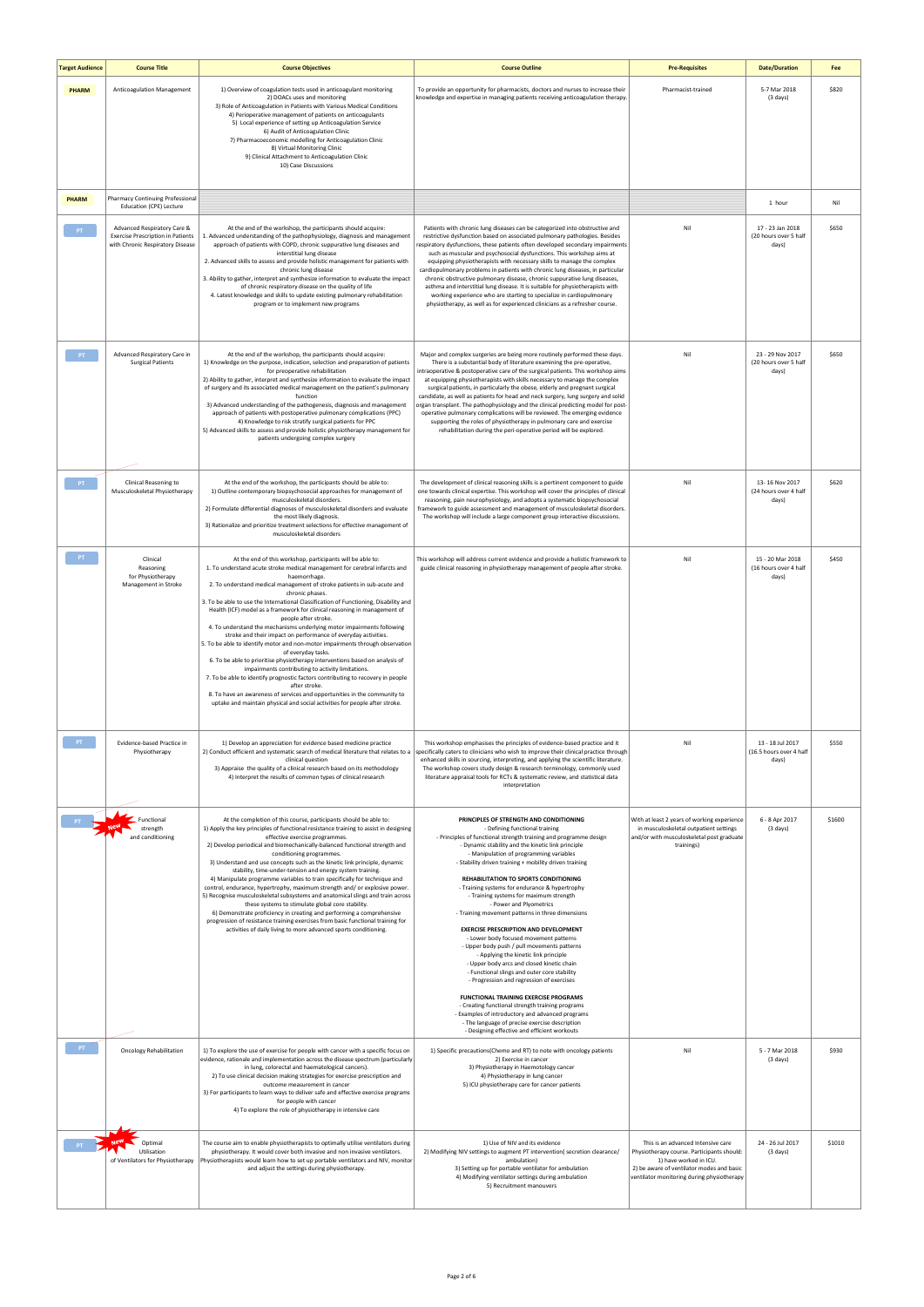| <b>Target Audience</b> | <b>Course Title</b>                                                                                         | <b>Course Objectives</b>                                                                                                                                                                                                                                                                                                                                                                                                                                                                                                                                                                                                                                                                                                                                                                                                                                                                                                                                                                                                                                                                                    | <b>Course Outline</b>                                                                                                                                                                                                                                                                                                                                                                                                                                                                                                                                                                                                                                                                                                                                                                                                                                                                                                                                                                                                                                                                                                 | <b>Pre-Requisites</b>                                                                                                                                                                                 | <b>Date/Duration</b>                                 | Fee    |
|------------------------|-------------------------------------------------------------------------------------------------------------|-------------------------------------------------------------------------------------------------------------------------------------------------------------------------------------------------------------------------------------------------------------------------------------------------------------------------------------------------------------------------------------------------------------------------------------------------------------------------------------------------------------------------------------------------------------------------------------------------------------------------------------------------------------------------------------------------------------------------------------------------------------------------------------------------------------------------------------------------------------------------------------------------------------------------------------------------------------------------------------------------------------------------------------------------------------------------------------------------------------|-----------------------------------------------------------------------------------------------------------------------------------------------------------------------------------------------------------------------------------------------------------------------------------------------------------------------------------------------------------------------------------------------------------------------------------------------------------------------------------------------------------------------------------------------------------------------------------------------------------------------------------------------------------------------------------------------------------------------------------------------------------------------------------------------------------------------------------------------------------------------------------------------------------------------------------------------------------------------------------------------------------------------------------------------------------------------------------------------------------------------|-------------------------------------------------------------------------------------------------------------------------------------------------------------------------------------------------------|------------------------------------------------------|--------|
| <b>PHARM</b>           | Anticoagulation Management                                                                                  | 1) Overview of coagulation tests used in anticoagulant monitoring<br>2) DOACs uses and monitoring<br>3) Role of Anticoagulation in Patients with Various Medical Conditions<br>4) Perioperative management of patients on anticoagulants<br>5) Local experience of setting up Anticoagulation Service<br>6) Audit of Anticoagulation Clinic<br>7) Pharmacoeconomic modelling for Anticoagulation Clinic<br>8) Virtual Monitoring Clinic<br>9) Clinical Attachment to Anticoagulation Clinic<br>10) Case Discussions                                                                                                                                                                                                                                                                                                                                                                                                                                                                                                                                                                                         | To provide an opportunity for pharmacists, doctors and nurses to increase their<br>knowledge and expertise in managing patients receiving anticoagulation therapy.                                                                                                                                                                                                                                                                                                                                                                                                                                                                                                                                                                                                                                                                                                                                                                                                                                                                                                                                                    | Pharmacist-trained                                                                                                                                                                                    | 5-7 Mar 2018<br>$(3 \text{ days})$                   | \$820  |
| <b>PHARM</b>           | Pharmacy Continuing Professional<br>Education (CPE) Lecture                                                 |                                                                                                                                                                                                                                                                                                                                                                                                                                                                                                                                                                                                                                                                                                                                                                                                                                                                                                                                                                                                                                                                                                             |                                                                                                                                                                                                                                                                                                                                                                                                                                                                                                                                                                                                                                                                                                                                                                                                                                                                                                                                                                                                                                                                                                                       |                                                                                                                                                                                                       | 1 hour                                               | Nil    |
| PT                     | Advanced Respiratory Care &<br><b>Exercise Prescription in Patients</b><br>with Chronic Respiratory Disease | At the end of the workshop, the participants should acquire:<br>1. Advanced understanding of the pathophysiology, diagnosis and management<br>approach of patients with COPD, chronic suppurative lung diseases and<br>interstitial lung disease<br>2. Advanced skills to assess and provide holistic management for patients with<br>chronic lung disease<br>3. Ability to gather, interpret and synthesize information to evaluate the impact<br>of chronic respiratory disease on the quality of life<br>4. Latest knowledge and skills to update existing pulmonary rehabilitation<br>program or to implement new programs                                                                                                                                                                                                                                                                                                                                                                                                                                                                              | Patients with chronic lung diseases can be categorized into obstructive and<br>restrictive dysfunction based on associated pulmonary pathologies. Besides<br>respiratory dysfunctions, these patients often developed secondary impairments<br>such as muscular and psychosocial dysfunctions. This workshop aims at<br>equipping physiotherapists with necessary skills to manage the complex<br>cardiopulmonary problems in patients with chronic lung diseases, in particular<br>chronic obstructive pulmonary disease, chronic suppurative lung diseases,<br>asthma and interstitial lung disease. It is suitable for physiotherapists with<br>working experience who are starting to specialize in cardiopulmonary<br>physiotherapy, as well as for experienced clinicians as a refresher course.                                                                                                                                                                                                                                                                                                                | Nil                                                                                                                                                                                                   | 17 - 23 Jan 2018<br>(20 hours over 5 half<br>days)   | \$650  |
| PT                     | Advanced Respiratory Care in<br><b>Surgical Patients</b>                                                    | At the end of the workshop, the participants should acquire:<br>1) Knowledge on the purpose, indication, selection and preparation of patients<br>for preoperative rehabilitation<br>2) Ability to gather, interpret and synthesize information to evaluate the impact<br>of surgery and its associated medical management on the patient's pulmonary<br>function<br>3) Advanced understanding of the pathogenesis, diagnosis and management<br>approach of patients with postoperative pulmonary complications (PPC)<br>4) Knowledge to risk stratify surgical patients for PPC<br>5) Advanced skills to assess and provide holistic physiotherapy management for<br>patients undergoing complex surgery                                                                                                                                                                                                                                                                                                                                                                                                   | Major and complex surgeries are being more routinely performed these days.<br>There is a substantial body of literature examining the pre-operative,<br>intraoperative & postoperative care of the surgical patients. This workshop aims<br>at equipping physiotherapists with skills necessary to manage the complex<br>surgical patients, in particularly the obese, elderly and pregnant surgical<br>candidate, as well as patients for head and neck surgery, lung surgery and solid<br>organ transplant. The pathophysiology and the clinical predicting model for post-<br>operative pulmonary complications will be reviewed. The emerging evidence<br>supporting the roles of physiotherapy in pulmonary care and exercise<br>rehabilitation during the peri-operative period will be explored.                                                                                                                                                                                                                                                                                                               | Nil                                                                                                                                                                                                   | 23 - 29 Nov 2017<br>(20 hours over 5 half<br>days)   | \$650  |
| PT                     | Clinical Reasoning to<br>Musculoskeletal Physiotherapy                                                      | At the end of the workshop, the participants should be able to:<br>1) Outline contemporary biopsychosocial approaches for management of<br>musculoskeletal disorders.<br>2) Formulate differential diagnoses of musculoskeletal disorders and evaluate<br>the most likely diagnosis.<br>3) Rationalize and prioritize treatment selections for effective management of<br>musculoskeletal disorders                                                                                                                                                                                                                                                                                                                                                                                                                                                                                                                                                                                                                                                                                                         | The development of clinical reasoning skills is a pertinent component to guide<br>one towards clinical expertise. This workshop will cover the principles of clinical<br>reasoning, pain neurophysiology, and adopts a systematic biopsychosocial<br>framework to guide assessment and management of musculoskeletal disorders.<br>The workshop will include a large component group interactive discussions.                                                                                                                                                                                                                                                                                                                                                                                                                                                                                                                                                                                                                                                                                                         | Nil                                                                                                                                                                                                   | 13-16 Nov 2017<br>(24 hours over 4 half<br>days)     | \$620  |
| $-PT$                  | Clinical<br>Reasoning<br>for Physiotherapy<br>Management in Stroke                                          | At the end of this workshop, participants will be able to:<br>1. To understand acute stroke medical management for cerebral infarcts and<br>haemorrhage.<br>2. To understand medical management of stroke patients in sub-acute and<br>chronic phases.<br>3. To be able to use the International Classification of Functioning, Disability and<br>Health (ICF) model as a framework for clinical reasoning in management of<br>people after stroke.<br>4. To understand the mechanisms underlying motor impairments following<br>stroke and their impact on performance of everyday activities.<br>5. To be able to identify motor and non-motor impairments through observation<br>of everyday tasks.<br>6. To be able to prioritise physiotherapy interventions based on analysis of<br>impairments contributing to activity limitations.<br>7. To be able to identify prognostic factors contributing to recovery in people<br>after stroke.<br>8. To have an awareness of services and opportunities in the community to<br>uptake and maintain physical and social activities for people after stroke. | This workshop will address current evidence and provide a holistic framework to<br>guide clinical reasoning in physiotherapy management of people after stroke.                                                                                                                                                                                                                                                                                                                                                                                                                                                                                                                                                                                                                                                                                                                                                                                                                                                                                                                                                       | Nil                                                                                                                                                                                                   | 15 - 20 Mar 2018<br>(16 hours over 4 half<br>days)   | \$450  |
| $-$ PT $-$             | Evidence-based Practice in<br>Physiotherapy                                                                 | 1) Develop an appreciation for evidence based medicine practice<br>2) Conduct efficient and systematic search of medical literature that relates to a<br>clinical question<br>3) Appraise the quality of a clinical research based on its methodology<br>4) Interpret the results of common types of clinical research                                                                                                                                                                                                                                                                                                                                                                                                                                                                                                                                                                                                                                                                                                                                                                                      | This workshop emphasises the principles of evidence-based practice and it<br>specifically caters to clinicians who wish to improve their clinical practice through<br>enhanced skills in sourcing, interpreting, and applying the scientific literature.<br>The workshop covers study design & research terminology, commonly used<br>literature appraisal tools for RCTs & systematic review, and statistical data<br>interpretation                                                                                                                                                                                                                                                                                                                                                                                                                                                                                                                                                                                                                                                                                 | Nil                                                                                                                                                                                                   | 13 - 18 Jul 2017<br>(16.5 hours over 4 half<br>days) | \$550  |
|                        | Functional<br>strength<br>and conditioning                                                                  | At the completion of this course, participants should be able to:<br>1) Apply the key principles of functional resistance training to assist in designing<br>effective exercise programmes.<br>2) Develop periodical and biomechanically-balanced functional strength and<br>conditioning programmes.<br>3) Understand and use concepts such as the kinetic link principle, dynamic<br>stability, time-under-tension and energy system training.<br>4) Manipulate programme variables to train specifically for technique and<br>control, endurance, hypertrophy, maximum strength and/ or explosive power.<br>5) Recognise musculoskeletal subsystems and anatomical slings and train across<br>these systems to stimulate global core stability.<br>6) Demonstrate proficiency in creating and performing a comprehensive<br>progression of resistance training exercises from basic functional training for<br>activities of daily living to more advanced sports conditioning.                                                                                                                          | PRINCIPLES OF STRENGTH AND CONDITIONING<br>- Defining functional training<br>- Principles of functional strength training and programme design<br>- Dynamic stability and the kinetic link principle<br>- Manipulation of programming variables<br>- Stability driven training + mobility driven training<br>REHABILITATION TO SPORTS CONDITIONING<br>- Training systems for endurance & hypertrophy<br>- Training systems for maximum strength<br>- Power and Plyometrics<br>- Training movement patterns in three dimensions<br><b>EXERCISE PRESCRIPTION AND DEVELOPMENT</b><br>- Lower body focused movement patterns<br>- Upper body push / pull movements patterns<br>- Applying the kinetic link principle<br>- Upper body arcs and closed kinetic chain<br>- Functional slings and outer core stability<br>- Progression and regression of exercises<br><b>FUNCTIONAL TRAINING EXERCISE PROGRAMS</b><br>- Creating functional strength training programs<br>- Examples of introductory and advanced programs<br>- The language of precise exercise description<br>- Designing effective and efficient workouts | With at least 2 years of working experience<br>in musculoskeletal outpatient settings<br>and/or with musculoskeletal post graduate<br>trainings)                                                      | 6 - 8 Apr 2017<br>$(3 \text{ days})$                 | \$1600 |
| PT                     | <b>Oncology Rehabilitation</b>                                                                              | 1) To explore the use of exercise for people with cancer with a specific focus on<br>evidence, rationale and implementation across the disease spectrum (particularly<br>in lung, colorectal and haematological cancers).<br>2) To use clinical decision making strategies for exercise prescription and<br>outcome measurement in cancer<br>3) For participants to learn ways to deliver safe and effective exercise programs<br>for people with cancer<br>4) To explore the role of physiotherapy in intensive care                                                                                                                                                                                                                                                                                                                                                                                                                                                                                                                                                                                       | 1) Specific precautions (Chemo and RT) to note with oncology patients<br>2) Exercise in cancer<br>3) Physiotherapy in Haemotology cancer<br>4) Physiotherapy in lung cancer<br>5) ICU physiotherapy care for cancer patients                                                                                                                                                                                                                                                                                                                                                                                                                                                                                                                                                                                                                                                                                                                                                                                                                                                                                          | Nil                                                                                                                                                                                                   | 5 - 7 Mar 2018<br>(3 days)                           | \$930  |
| PT                     | Optimal<br>Utilisation<br>of Ventilators for Physiotherapy                                                  | The course aim to enable physiotherapists to optimally utilise ventilators during<br>physiotherapy. It would cover both invasive and non invasive ventilators.<br>Physiotherapists would learn how to set up portable ventilators and NIV, monitor<br>and adjust the settings during physiotherapy.                                                                                                                                                                                                                                                                                                                                                                                                                                                                                                                                                                                                                                                                                                                                                                                                         | 1) Use of NIV and its evidence<br>2) Modifying NIV settings to augment PT intervention( secretion clearance/<br>ambulation)<br>3) Setting up for portable ventilator for ambulation<br>4) Modifying ventilator settings during ambulation<br>5) Recruitment manouvers                                                                                                                                                                                                                                                                                                                                                                                                                                                                                                                                                                                                                                                                                                                                                                                                                                                 | This is an advanced Intensive care<br>Physiotherapy course. Participants should:<br>1) have worked in ICU.<br>2) be aware of ventilator modes and basic<br>ventilator monitoring during physiotherapy | 24 - 26 Jul 2017<br>$(3 \text{ days})$               | \$1010 |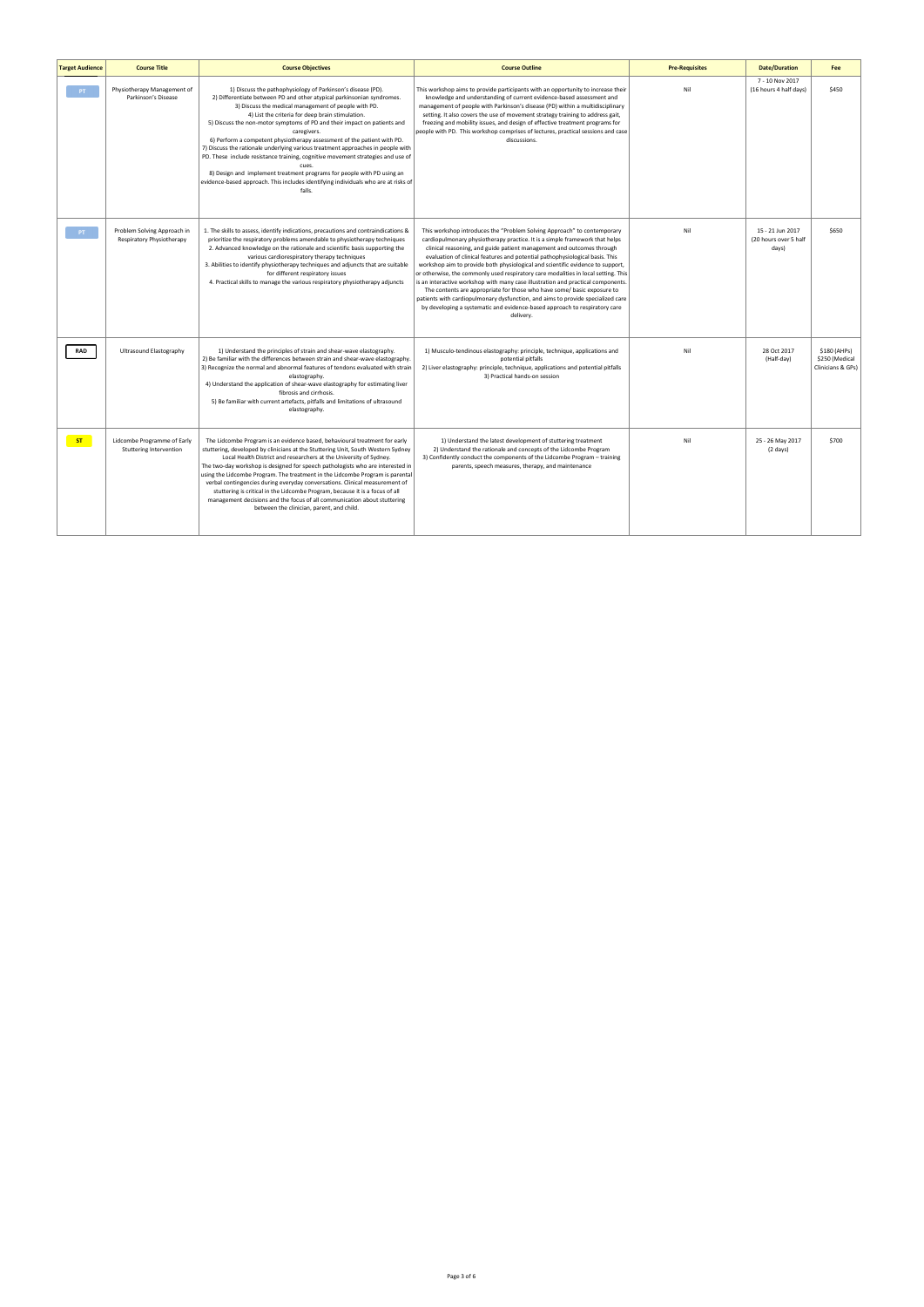| <b>Target Audience</b> | <b>Course Title</b>                                      | <b>Course Objectives</b>                                                                                                                                                                                                                                                                                                                                                                                                                                                                                                                                                                                                                                                                                                                                                         | <b>Course Outline</b>                                                                                                                                                                                                                                                                                                                                                                                                                                                                                                                                                                                                                                                                                                                                                                                                                | <b>Pre-Requisites</b> | <b>Date/Duration</b>                               | Fee                                                 |
|------------------------|----------------------------------------------------------|----------------------------------------------------------------------------------------------------------------------------------------------------------------------------------------------------------------------------------------------------------------------------------------------------------------------------------------------------------------------------------------------------------------------------------------------------------------------------------------------------------------------------------------------------------------------------------------------------------------------------------------------------------------------------------------------------------------------------------------------------------------------------------|--------------------------------------------------------------------------------------------------------------------------------------------------------------------------------------------------------------------------------------------------------------------------------------------------------------------------------------------------------------------------------------------------------------------------------------------------------------------------------------------------------------------------------------------------------------------------------------------------------------------------------------------------------------------------------------------------------------------------------------------------------------------------------------------------------------------------------------|-----------------------|----------------------------------------------------|-----------------------------------------------------|
| PT                     | Physiotherapy Management of<br>Parkinson's Disease       | 1) Discuss the pathophysiology of Parkinson's disease (PD).<br>2) Differentiate between PD and other atypical parkinsonian syndromes.<br>3) Discuss the medical management of people with PD.<br>4) List the criteria for deep brain stimulation.<br>5) Discuss the non-motor symptoms of PD and their impact on patients and<br>caregivers.<br>6) Perform a competent physiotherapy assessment of the patient with PD.<br>7) Discuss the rationale underlying various treatment approaches in people with<br>PD. These include resistance training, cognitive movement strategies and use of<br>cues.<br>8) Design and implement treatment programs for people with PD using an<br>evidence-based approach. This includes identifying individuals who are at risks of<br>falls. | This workshop aims to provide participants with an opportunity to increase their<br>knowledge and understanding of current evidence-based assessment and<br>management of people with Parkinson's disease (PD) within a multidisciplinary<br>setting. It also covers the use of movement strategy training to address gait,<br>freezing and mobility issues, and design of effective treatment programs for<br>people with PD. This workshop comprises of lectures, practical sessions and case<br>discussions.                                                                                                                                                                                                                                                                                                                      | Nil                   | 7 - 10 Nov 2017<br>(16 hours 4 half days)          | \$450                                               |
| PT <sub>1</sub>        | Problem Solving Approach in<br>Respiratory Physiotherapy | 1. The skills to assess, identify indications, precautions and contraindications &<br>prioritize the respiratory problems amendable to physiotherapy techniques<br>2. Advanced knowledge on the rationale and scientific basis supporting the<br>various cardiorespiratory therapy techniques<br>3. Abilities to identify physiotherapy techniques and adjuncts that are suitable<br>for different respiratory issues<br>4. Practical skills to manage the various respiratory physiotherapy adjuncts                                                                                                                                                                                                                                                                            | This workshop introduces the "Problem Solving Approach" to contemporary<br>cardiopulmonary physiotherapy practice. It is a simple framework that helps<br>clinical reasoning, and guide patient management and outcomes through<br>evaluation of clinical features and potential pathophysiological basis. This<br>workshop aim to provide both physiological and scientific evidence to support,<br>or otherwise, the commonly used respiratory care modalities in local setting. This<br>is an interactive workshop with many case illustration and practical components.<br>The contents are appropriate for those who have some/ basic exposure to<br>patients with cardiopulmonary dysfunction, and aims to provide specialized care<br>by developing a systematic and evidence-based approach to respiratory care<br>delivery. | Nil                   | 15 - 21 Jun 2017<br>(20 hours over 5 half<br>days) | \$650                                               |
| <b>RAD</b>             | Ultrasound Elastography                                  | 1) Understand the principles of strain and shear-wave elastography.<br>2) Be familiar with the differences between strain and shear-wave elastography.<br>3) Recognize the normal and abnormal features of tendons evaluated with strain<br>elastography.<br>4) Understand the application of shear-wave elastography for estimating liver<br>fibrosis and cirrhosis.<br>5) Be familiar with current artefacts, pitfalls and limitations of ultrasound<br>elastography.                                                                                                                                                                                                                                                                                                          | 1) Musculo-tendinous elastography: principle, technique, applications and<br>potential pitfalls<br>2) Liver elastography: principle, technique, applications and potential pitfalls<br>3) Practical hands-on session                                                                                                                                                                                                                                                                                                                                                                                                                                                                                                                                                                                                                 | Nil                   | 28 Oct 2017<br>(Half-day)                          | \$180 (AHPs)<br>\$250 (Medical<br>Clinicians & GPs) |
| ST                     | Lidcombe Programme of Early<br>Stuttering Intervention   | The Lidcombe Program is an evidence based, behavioural treatment for early<br>stuttering, developed by clinicians at the Stuttering Unit, South Western Sydney<br>Local Health District and researchers at the University of Sydney.<br>The two-day workshop is designed for speech pathologists who are interested in<br>using the Lidcombe Program. The treatment in the Lidcombe Program is parental<br>verbal contingencies during everyday conversations. Clinical measurement of<br>stuttering is critical in the Lidcombe Program, because it is a focus of all<br>management decisions and the focus of all communication about stuttering<br>between the clinician, parent, and child.                                                                                  | 1) Understand the latest development of stuttering treatment<br>2) Understand the rationale and concepts of the Lidcombe Program<br>3) Confidently conduct the components of the Lidcombe Program - training<br>parents, speech measures, therapy, and maintenance                                                                                                                                                                                                                                                                                                                                                                                                                                                                                                                                                                   | Nil                   | 25 - 26 May 2017<br>$(2 \text{ days})$             | \$700                                               |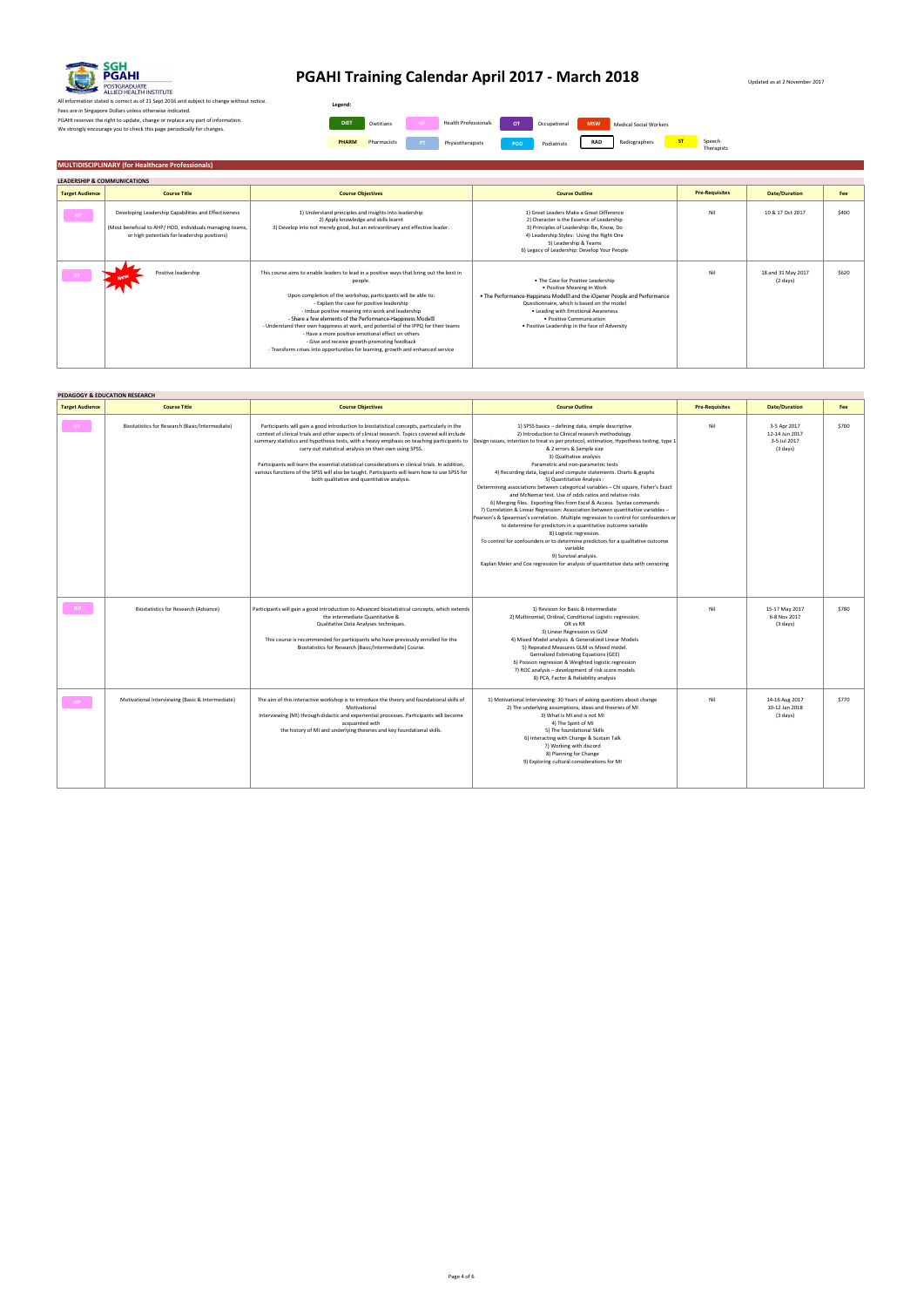Updated as at 2 November 2017

All information stated is correct as of 21 Sept 2016 and subject to change without notice. Fees are in Singapore Dollars unless otherwise indicated. PGAHI reserves the right to update, change or replace any part of information. We strongly encourage you to check this page periodically for changes.

## **MULTIDISCIPLINARY (for Healthcare Professionals)**

| <b>LEADERSHIP &amp; COMMUNICATIONS</b> |                                                                                                                                                                  |                                                                                                                                                                                                                                                                                                                                                                                                                                                                                                                                                                                                                                   |                                                                                                                                                                                                                                                                                                                 |                       |                                |       |
|----------------------------------------|------------------------------------------------------------------------------------------------------------------------------------------------------------------|-----------------------------------------------------------------------------------------------------------------------------------------------------------------------------------------------------------------------------------------------------------------------------------------------------------------------------------------------------------------------------------------------------------------------------------------------------------------------------------------------------------------------------------------------------------------------------------------------------------------------------------|-----------------------------------------------------------------------------------------------------------------------------------------------------------------------------------------------------------------------------------------------------------------------------------------------------------------|-----------------------|--------------------------------|-------|
| <b>Target Audience</b>                 | <b>Course Title</b>                                                                                                                                              | <b>Course Objectives</b>                                                                                                                                                                                                                                                                                                                                                                                                                                                                                                                                                                                                          | <b>Course Outline</b>                                                                                                                                                                                                                                                                                           | <b>Pre-Requisites</b> | <b>Date/Duration</b>           | Fee   |
| $^{\circ}$ HP $^{\circ}$               | Developing Leadership Capabilities and Effectiveness<br>(Most beneficial to AHP/HOD, individuals managing teams,<br>or high potentials for leadership positions) | 1) Understand principles and insights into leadership<br>2) Apply knowledge and skills learnt<br>3) Develop into not merely good, but an extraordinary and effective leader.                                                                                                                                                                                                                                                                                                                                                                                                                                                      | 1) Great Leaders Make a Great Difference<br>2) Character is the Essence of Leadership<br>3) Principles of Leadership: Be, Know, Do<br>4) Leadership Styles: Using the Right One<br>5) Leadership & Teams<br>6) Legacy of Leadership: Develop Your People                                                        | Nil                   | 10 & 17 Oct 2017               | \$400 |
| $H$ P                                  | Positive leadership<br><b>New</b>                                                                                                                                | This course aims to enable leaders to lead in a positive ways that bring out the best in<br>people.<br>Upon completion of the workshop, participants will be able to:<br>- Explain the case for positive leadership<br>- Imbue positive meaning into work and leadership<br>- Share a few elements of the Performance-Happiness Model <sup>2</sup><br>- Understand their own happiness at work, and potential of the IPPQ for their teams<br>- Have a more positive emotional effect on others<br>- Give and receive growth-promoting feedback<br>- Transform crises into opportunities for learning, growth and enhanced service | . The Case for Positive Leadership<br>• Positive Meaning in Work<br>• The Performance-Happiness Model2 and the iOpener People and Performance<br>Questionnaire, which is based on the model<br>. Leading with Emotional Awareness<br>· Positive Communication<br>. Positive Leadership in the face of Adversity | Nil                   | 18 and 31 May 2017<br>(2 days) | \$620 |

|                        | PEDAGOGY & EDUCATION RESEARCH                    |                                                                                                                                                                                                                                                                                                                                                                                                                                                                                                                                                                                                                                                                                                       |                                                                                                                                                                                                                                                                                                                                                                                                                                                                                                                                                                                                                                                                                                                                                                                                                                                                                                                                                                                                                            |                       |                                                                      |       |
|------------------------|--------------------------------------------------|-------------------------------------------------------------------------------------------------------------------------------------------------------------------------------------------------------------------------------------------------------------------------------------------------------------------------------------------------------------------------------------------------------------------------------------------------------------------------------------------------------------------------------------------------------------------------------------------------------------------------------------------------------------------------------------------------------|----------------------------------------------------------------------------------------------------------------------------------------------------------------------------------------------------------------------------------------------------------------------------------------------------------------------------------------------------------------------------------------------------------------------------------------------------------------------------------------------------------------------------------------------------------------------------------------------------------------------------------------------------------------------------------------------------------------------------------------------------------------------------------------------------------------------------------------------------------------------------------------------------------------------------------------------------------------------------------------------------------------------------|-----------------------|----------------------------------------------------------------------|-------|
| <b>Target Audience</b> | <b>Course Title</b>                              | <b>Course Objectives</b>                                                                                                                                                                                                                                                                                                                                                                                                                                                                                                                                                                                                                                                                              | <b>Course Outline</b>                                                                                                                                                                                                                                                                                                                                                                                                                                                                                                                                                                                                                                                                                                                                                                                                                                                                                                                                                                                                      | <b>Pre-Requisites</b> | <b>Date/Duration</b>                                                 | Fee   |
| $H$ P                  | Biostatistics for Research (Basic/Intermediate)  | Participants will gain a good introduction to biostatistical concepts, particularly in the<br>context of clinical trials and other aspects of clinical research. Topics covered will include<br>summary statistics and hypothesis tests, with a heavy emphasis on teaching participants to Design issues, intention to treat vs per protocol, estimation, Hypothesis testing, type 1<br>carry out statistical analysis on their own using SPSS.<br>Participants will learn the essential statistical considerations in clinical trials. In addition,<br>various functions of the SPSS will also be taught. Participants will learn how to use SPSS for<br>both qualitative and quantitative analysis. | 1) SPSS basics - defining data, simple descriptive<br>2) Introduction to Clinical research methodology.<br>& 2 errors & Sample size<br>3) Qualitative analysis<br>Parametric and non-parametric tests<br>4) Recording data, logical and compute statements. Charts & graphs<br>5) Quantitative Analysis:<br>Determining associations between categorical variables - Chi square, Fisher's Exact<br>and McNemar test. Use of odds ratios and relative risks<br>6) Merging files. Exporting files from Excel & Access. Syntax commands<br>7) Correlation & Linear Regression: Association between quantitative variables -<br>Pearson's & Spearman's correlation. Multiple regression to control for confounders or<br>to determine for predictors in a quantitative outcome variable<br>8) Logistic regression.<br>To control for confounders or to determine predictors for a qualitative outcome<br>variable<br>9) Survival analysis.<br>Kaplan Meier and Cox regression for analysis of quantitative data with censoring | Nil                   | 3-5 Apr 2017<br>12-14 Jun 2017<br>3-5 Jul 2017<br>$(3 \text{ days})$ | \$700 |
| $H$ P                  | Biostatistics for Research (Advance)             | Participants will gain a good introduction to Advanced biostatistical concepts, which extends<br>the intermediate Quantitative &<br>Qualitative Data Analyses techniques.<br>This course is recommended for participants who have previously enrolled for the<br>Biostatistics for Research (Basic/Intermediate) Course.                                                                                                                                                                                                                                                                                                                                                                              | 1) Revision for Basic & Intermediate<br>2) Multinomial, Ordinal, Conditional Logistic regression.<br>OR vs RR<br>3) Linear Regression vs GLM<br>4) Mixed Model analysis & Generalized Linear Models<br>5) Repeated Measures GLM vs Mixed model.<br>Genralized Estimating Equations (GEE)<br>6) Poisson regression & Weighted logistic regression<br>7) ROC analysis - development of risk score models<br>8) PCA, Factor & Reliability analysis                                                                                                                                                                                                                                                                                                                                                                                                                                                                                                                                                                            | Nil                   | 15-17 May 2017<br>6-8 Nov 2017<br>$(3 \text{ days})$                 | \$780 |
| HP.                    | Motivational Interviewing (Basic & Intermediate) | The aim of this interactive workshop is to introduce the theory and foundational skills of<br>Motivational<br>Interviewing (MI) through didactic and experiential processes. Participants will become<br>acquainted with<br>the history of MI and underlying theories and key foundational skills.                                                                                                                                                                                                                                                                                                                                                                                                    | 1) Motivational Interviewing: 30 Years of asking questions about change<br>2) The underlying assumptions, ideas and theories of MI<br>3) What is MI and is not MI<br>4) The Spirit of MI<br>5) The foundational Skills<br>6) Interacting with Change & Sustain Talk<br>7) Working with discord<br>8) Planning for Change<br>9) Exploring cultural considerations for MI                                                                                                                                                                                                                                                                                                                                                                                                                                                                                                                                                                                                                                                    | Nil                   | 14-16 Aug 2017<br>10-12 Jan 2018<br>$(3 \text{ days})$               | \$770 |



# **PGAHI Training Calendar April 2017 - March 2018**

| Legend:      |             |           |                             |           |              |            |                        |           |                      |
|--------------|-------------|-----------|-----------------------------|-----------|--------------|------------|------------------------|-----------|----------------------|
| <b>DIET</b>  | Dietitians  | <b>HP</b> | <b>Health Professionals</b> | <b>OT</b> | Occupational | <b>MSW</b> | Medical Social Workers |           |                      |
| <b>PHARM</b> | Pharmacists | PT.       | Physiotherapists            | POD       | Podiatrists  | <b>RAD</b> | Radiographers          | <b>ST</b> | Speech<br>Therapists |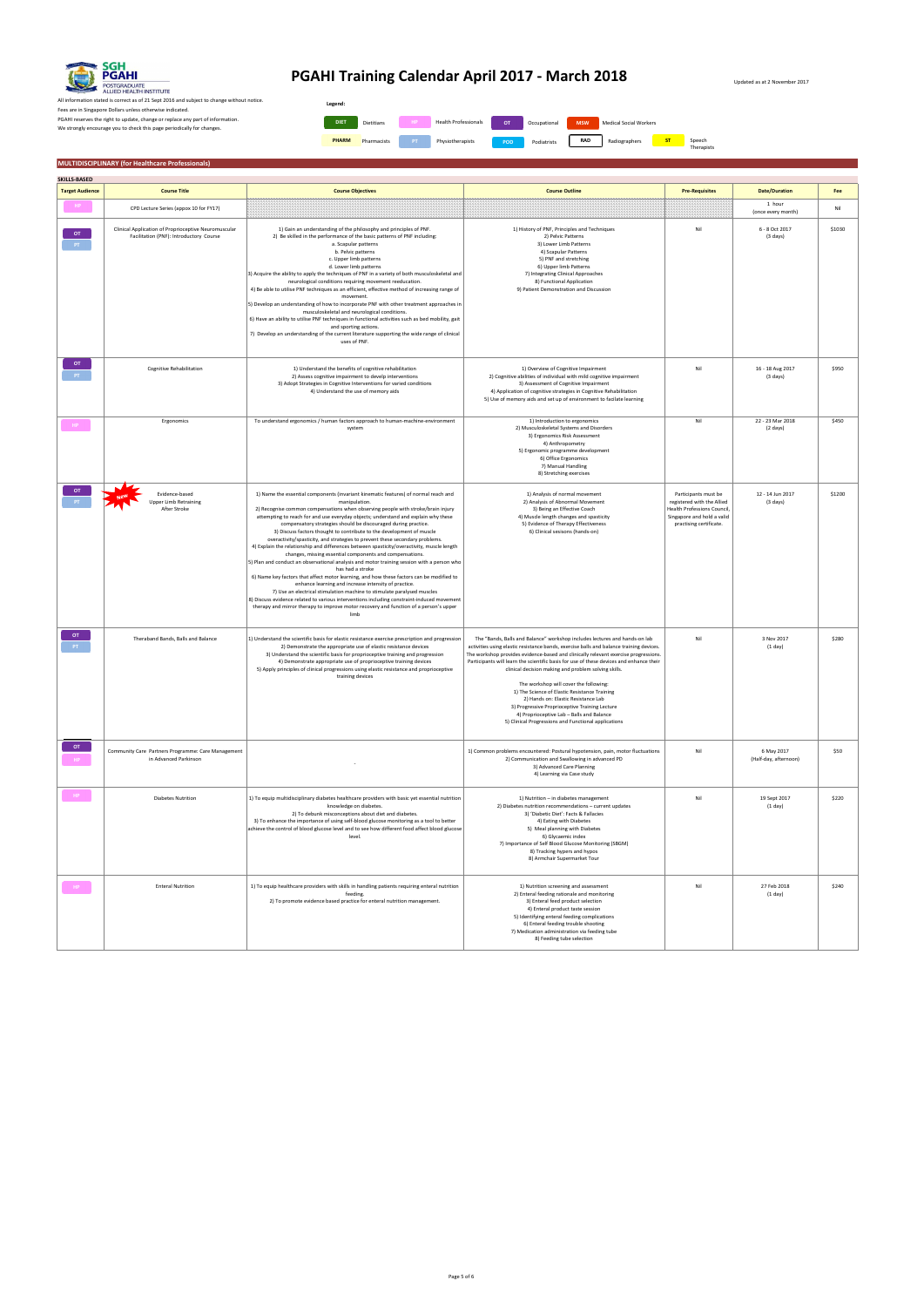Updated as at 2 November 2017

All information stated is correct as of 21 Sept 2016 and subject to change without notice. Fees are in Singapore Dollars unless otherwise indicated. PGAHI reserves the right to update, change or replace any part of information. We strongly encourage you to check this page periodically for changes.

### **MULTIDISCIPLINARY (for Healthcare Professionals)**

| SKILLS-BASED           |                                                                                                 |                                                                                                                                                                                                                                                                                                                                                                                                                                                                                                                                                                                                                                                                                                                                                                                                                                                                                                                                                                                                                                                                                                                                                                                                                     |                                                                                                                                                                                                                                                                                                                                                                                                                                                                                                                                                                                                                                                                                                          |                                                                                                                                            |                                        |        |
|------------------------|-------------------------------------------------------------------------------------------------|---------------------------------------------------------------------------------------------------------------------------------------------------------------------------------------------------------------------------------------------------------------------------------------------------------------------------------------------------------------------------------------------------------------------------------------------------------------------------------------------------------------------------------------------------------------------------------------------------------------------------------------------------------------------------------------------------------------------------------------------------------------------------------------------------------------------------------------------------------------------------------------------------------------------------------------------------------------------------------------------------------------------------------------------------------------------------------------------------------------------------------------------------------------------------------------------------------------------|----------------------------------------------------------------------------------------------------------------------------------------------------------------------------------------------------------------------------------------------------------------------------------------------------------------------------------------------------------------------------------------------------------------------------------------------------------------------------------------------------------------------------------------------------------------------------------------------------------------------------------------------------------------------------------------------------------|--------------------------------------------------------------------------------------------------------------------------------------------|----------------------------------------|--------|
| <b>Target Audience</b> | <b>Course Title</b>                                                                             | <b>Course Objectives</b>                                                                                                                                                                                                                                                                                                                                                                                                                                                                                                                                                                                                                                                                                                                                                                                                                                                                                                                                                                                                                                                                                                                                                                                            | <b>Course Outline</b>                                                                                                                                                                                                                                                                                                                                                                                                                                                                                                                                                                                                                                                                                    | <b>Pre-Requisites</b>                                                                                                                      | <b>Date/Duration</b>                   | Fee    |
|                        | CPD Lecture Series (appox 10 for FY17)                                                          |                                                                                                                                                                                                                                                                                                                                                                                                                                                                                                                                                                                                                                                                                                                                                                                                                                                                                                                                                                                                                                                                                                                                                                                                                     |                                                                                                                                                                                                                                                                                                                                                                                                                                                                                                                                                                                                                                                                                                          |                                                                                                                                            | 1 hour<br>(once every month)           | Nil    |
| OT.                    | Clinical Application of Proprioceptive Neuromuscular<br>Facilitation (PNF): Introductory Course | 1) Gain an understanding of the philosophy and principles of PNF.<br>2) Be skilled in the performance of the basic patterns of PNF including:<br>a. Scapular patterns<br>b. Pelvic patterns<br>c. Upper limb patterns<br>d. Lower limb patterns<br>3) Acquire the ability to apply the techniques of PNF in a variety of both musculoskeletal and<br>neurological conditions requiring movement reeducation.<br>4) Be able to utilise PNF techniques as an efficient, effective method of increasing range of<br>movement.<br>5) Develop an understanding of how to incorporate PNF with other treatment approaches in<br>musculoskeletal and neurological conditions.<br>6) Have an ability to utilise PNF techniques in functional activities such as bed mobility, gait<br>and sporting actions.<br>7) Develop an understanding of the current literature supporting the wide range of clinical<br>uses of PNF.                                                                                                                                                                                                                                                                                                  | 1) History of PNF, Principles and Techniques<br>2) Pelvic Patterns<br>3) Lower Limb Patterns<br>4) Scapular Patterns<br>5) PNF and stretching<br>6) Upper limb Patterns<br>7) Integrating Clinical Approaches<br>8) Functional Application<br>9) Patient Demonstration and Discussion                                                                                                                                                                                                                                                                                                                                                                                                                    | Nil                                                                                                                                        | 6 - 8 Oct 2017<br>$(3 \text{ days})$   | \$1030 |
| OT .                   | Cognitive Rehabilitation                                                                        | 1) Understand the benefits of cognitive rehabilitation<br>2) Assess cognitive impairment to develp interventions<br>3) Adopt Strategies in Cognitive Interventions for varied conditions<br>4) Understand the use of memory aids                                                                                                                                                                                                                                                                                                                                                                                                                                                                                                                                                                                                                                                                                                                                                                                                                                                                                                                                                                                    | 1) Overview of Cognitive Impairment<br>2) Cognitive abilities of individual with mild cognitive impairment<br>3) Assessment of Cognitive Impairment<br>4) Application of cognitive strategies in Cognitive Rehabilitation<br>5) Use of memory aids and set up of environment to facilate learning                                                                                                                                                                                                                                                                                                                                                                                                        | Nil                                                                                                                                        | 16 - 18 Aug 2017<br>(3 days)           | \$950  |
|                        | Ergonomics                                                                                      | To understand ergonomics / human factors approach to human-machine-environment<br>system                                                                                                                                                                                                                                                                                                                                                                                                                                                                                                                                                                                                                                                                                                                                                                                                                                                                                                                                                                                                                                                                                                                            | 1) Introduction to ergonomics<br>2) Musculoskeletal Systems and Disorders<br>3) Ergonomics Risk Assessment<br>4) Anthropometry<br>5) Ergonomic programme development<br>6) Office Ergonomics<br>7) Manual Handling<br>8) Stretching exercises                                                                                                                                                                                                                                                                                                                                                                                                                                                            | Nil                                                                                                                                        | 22 - 23 Mar 2018<br>$(2 \text{ days})$ | \$450  |
|                        | Evidence-based<br><b>Upper Limb Retraining</b><br>After Stroke                                  | 1) Name the essential components (invariant kinematic features) of normal reach and<br>manipulation.<br>2) Recognise common compensations when observing people with stroke/brain injury<br>attempting to reach for and use everyday objects; understand and explain why these<br>compensatory strategies should be discouraged during practice.<br>3) Discuss factors thought to contribute to the development of muscle<br>overactivity/spasticity, and strategies to prevent these secondary problems.<br>4) Explain the relationship and differences between spasticity/overactivity, muscle length<br>changes, missing essential components and compensations.<br>5) Plan and conduct an observational analysis and motor training session with a person who<br>has had a stroke<br>6) Name key factors that affect motor learning, and how these factors can be modified to<br>enhance learning and increase intensity of practice.<br>7) Use an electrical stimulation machine to stimulate paralysed muscles<br>8) Discuss evidence related to various interventions including constraint-induced movement<br>therapy and mirror therapy to improve motor recovery and function of a person's upper<br>limb | 1) Analysis of normal movement<br>2) Analysis of Abnormal Movement<br>3) Being an Effective Coach<br>4) Muscle length changes and spasticity<br>5) Evidence of Therapy Effectiveness<br>6) Clinical sesisons (hands-on)                                                                                                                                                                                                                                                                                                                                                                                                                                                                                  | Participants must be<br>registered with the Allied<br>Health Professions Council,<br>Singapore and hold a valid<br>practising certificate. | 12 - 14 Jun 2017<br>$(3 \text{ days})$ | \$1200 |
| <b>OT</b>              | Theraband Bands, Balls and Balance                                                              | 1) Understand the scientific basis for elastic resistance exercise prescription and progression<br>2) Demonstrate the appropriate use of elastic resistance devices<br>3) Understand the scientific basis for proprioceptive training and progression<br>4) Demonstrate appropriate use of proprioceptive training devices<br>5) Apply principles of clinical progressions using elastic resistance and proprioceptive<br>training devices                                                                                                                                                                                                                                                                                                                                                                                                                                                                                                                                                                                                                                                                                                                                                                          | The "Bands, Balls and Balance" workshop includes lectures and hands-on lab<br>activities using elastic resistance bands, exercise balls and balance training devices.<br>The workshop provides evidence-based and clinically relevant exercise progressions.<br>Participants will learn the scientific basis for use of these devices and enhance their<br>clinical decision making and problem solving skills.<br>The workshop will cover the following:<br>1) The Science of Elastic Resistance Training<br>2) Hands on: Elastic Resistance Lab<br>3) Progressive Proprioceptive Training Lecture<br>4) Proprioceptive Lab - Balls and Balance<br>5) Clinical Progressions and Functional applications | Nil                                                                                                                                        | 3 Nov 2017<br>(1 day)                  | \$280  |
| OT                     | Community Care Partners Programme: Care Management<br>in Advanced Parkinson                     |                                                                                                                                                                                                                                                                                                                                                                                                                                                                                                                                                                                                                                                                                                                                                                                                                                                                                                                                                                                                                                                                                                                                                                                                                     | 1) Common problems encountered: Postural hypotension, pain, motor fluctuations<br>2) Communication and Swallowing in advanced PD<br>3) Advanced Care Planning<br>4) Learning via Case study                                                                                                                                                                                                                                                                                                                                                                                                                                                                                                              | Nil                                                                                                                                        | 6 May 2017<br>(Half-day, afternoon)    | \$50   |
|                        | <b>Diabetes Nutrition</b>                                                                       | 1) To equip multidisciplinary diabetes healthcare providers with basic yet essential nutrition<br>knowledge on diabetes.<br>2) To debunk misconceptions about diet and diabetes.<br>3) To enhance the importance of using self-blood glucose monitoring as a tool to better<br>achieve the control of blood glucose level and to see how different food affect blood glucose<br>level.                                                                                                                                                                                                                                                                                                                                                                                                                                                                                                                                                                                                                                                                                                                                                                                                                              | 1) Nutrition - in diabetes management<br>2) Diabetes nutrition recommendations - current updates<br>3) 'Diabetic Diet': Facts & Fallacies<br>4) Eating with Diabetes<br>5) Meal planning with Diabetes<br>6) Glycaemic index<br>7) Importance of Self Blood Glucose Monitoring (SBGM)<br>8) Tracking hypers and hypos<br>8) Armchair Supermarket Tour                                                                                                                                                                                                                                                                                                                                                    | Nil                                                                                                                                        | 19 Sept 2017<br>(1 day)                | \$220  |
|                        | <b>Enteral Nutrition</b>                                                                        | 1) To equip healthcare providers with skills in handling patients requiring enteral nutrition<br>feeding.<br>2) To promote evidence based practice for enteral nutrition management.                                                                                                                                                                                                                                                                                                                                                                                                                                                                                                                                                                                                                                                                                                                                                                                                                                                                                                                                                                                                                                | 1) Nutrition screening and assessment<br>2) Enteral feeding rationale and monitoring<br>3) Enteral feed product selection<br>4) Enteral product taste session<br>5) Identifying enteral feeding complications<br>6) Enteral feeding trouble shooting<br>7) Medication administration via feeding tube<br>8) Feeding tube selection                                                                                                                                                                                                                                                                                                                                                                       | Nil                                                                                                                                        | 27 Feb 2018<br>(1 day)                 | \$240  |



# **PGAHI Training Calendar April 2017 - March 2018**

| Legend:      |                   |           |                             |            |              |            |                               |    |                      |
|--------------|-------------------|-----------|-----------------------------|------------|--------------|------------|-------------------------------|----|----------------------|
| <b>DIET</b>  | <b>Dietitians</b> | HP        | <b>Health Professionals</b> | OT         | Occupational | <b>MSW</b> | <b>Medical Social Workers</b> |    |                      |
| <b>PHARM</b> | Pharmacists       | <b>PT</b> | Physiotherapists            | <b>POD</b> | Podiatrists  | <b>RAD</b> | Radiographers                 | ST | Speech<br>Therapists |